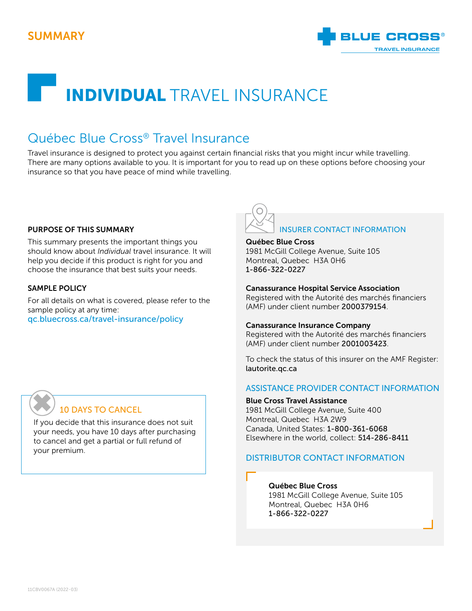

# INDIVIDUAL TRAVEL INSURANCE

# Québec Blue Cross® Travel Insurance

Travel insurance is designed to protect you against certain financial risks that you might incur while travelling. There are many options available to you. It is important for you to read up on these options before choosing your insurance so that you have peace of mind while travelling.

#### PURPOSE OF THIS SUMMARY

This summary presents the important things you should know about *Individual* travel insurance. It will help you decide if this product is right for you and choose the insurance that best suits your needs.

#### SAMPLE POLICY

For all details on what is covered, please refer to the sample policy at any time: [qc.bluecross.ca/travel-insurance/policy](https://qc.bluecross.ca/travel-insurance/travel-insurance-101/sample-of-insurance-policies)



#### Québec Blue Cross

1981 McGill College Avenue, Suite 105 Montreal, Quebec H3A 0H6 1-866-322-0227

#### Canassurance Hospital Service Association

Registered with the Autorité des marchés financiers (AMF) under client number 2000379154.

#### Canassurance Insurance Company

Registered with the Autorité des marchés financiers (AMF) under client number 2001003423.

To check the status of this insurer on the AMF Register: [lautorite.qc.ca](https://lautorite.qc.ca)

#### ASSISTANCE PROVIDER CONTACT INFORMATION

#### Blue Cross Travel Assistance

1981 McGill College Avenue, Suite 400 Montreal, Quebec H3A 2W9 Canada, United States: 1-800-361-6068 Elsewhere in the world, collect: 514-286-8411

#### DISTRIBUTOR CONTACT INFORMATION

#### Québec Blue Cross

1981 McGill College Avenue, Suite 105 Montreal, Quebec H3A 0H6 1-866-322-0227

## 10 DAYS TO CANCEL ✖

If you decide that this insurance does not suit your needs, you have 10 days after purchasing to cancel and get a partial or full refund of your premium.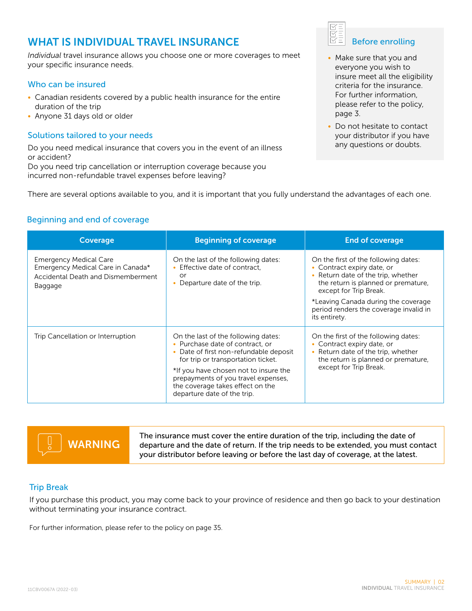## WHAT IS INDIVIDUAL TRAVEL INSURANCE

*Individual* travel insurance allows you choose one or more coverages to meet your specific insurance needs.

#### Who can be insured

- Canadian residents covered by a public health insurance for the entire duration of the trip
- Anyone 31 days old or older

#### Solutions tailored to your needs

Do you need medical insurance that covers you in the event of an illness or accident?

Do you need trip cancellation or interruption coverage because you incurred non-refundable travel expenses before leaving?



- Make sure that you and everyone you wish to insure meet all the eligibility criteria for the insurance. For further information, please refer to the policy, page 3.
- Do not hesitate to contact your distributor if you have any questions or doubts.

There are several options available to you, and it is important that you fully understand the advantages of each one.

#### Beginning and end of coverage

| <b>Coverage</b>                                                                                                     | <b>Beginning of coverage</b>                                                                                                                                                                                                                                                                              | <b>End of coverage</b>                                                                                                                                                    |  |
|---------------------------------------------------------------------------------------------------------------------|-----------------------------------------------------------------------------------------------------------------------------------------------------------------------------------------------------------------------------------------------------------------------------------------------------------|---------------------------------------------------------------------------------------------------------------------------------------------------------------------------|--|
| <b>Emergency Medical Care</b><br>Emergency Medical Care in Canada*<br>Accidental Death and Dismemberment<br>Baggage | On the last of the following dates:<br>• Effective date of contract.<br>or<br>Departure date of the trip.                                                                                                                                                                                                 | On the first of the following dates:<br>• Contract expiry date, or<br>• Return date of the trip, whether<br>the return is planned or premature,<br>except for Trip Break. |  |
|                                                                                                                     |                                                                                                                                                                                                                                                                                                           | *Leaving Canada during the coverage<br>period renders the coverage invalid in<br>its entirety.                                                                            |  |
| Trip Cancellation or Interruption                                                                                   | On the last of the following dates:<br>• Purchase date of contract, or<br>• Date of first non-refundable deposit<br>for trip or transportation ticket.<br>*If you have chosen not to insure the<br>prepayments of you travel expenses,<br>the coverage takes effect on the<br>departure date of the trip. | On the first of the following dates:<br>• Contract expiry date, or<br>• Return date of the trip, whether<br>the return is planned or premature,<br>except for Trip Break. |  |

The insurance must cover the entire duration of the trip, including the date of departure and the date of return. If the trip needs to be extended, you must contact your distributor before leaving or before the last day of coverage, at the latest. WARNING

#### Trip Break

If you purchase this product, you may come back to your province of residence and then go back to your destination without terminating your insurance contract.

For further information, please refer to the policy on page 35.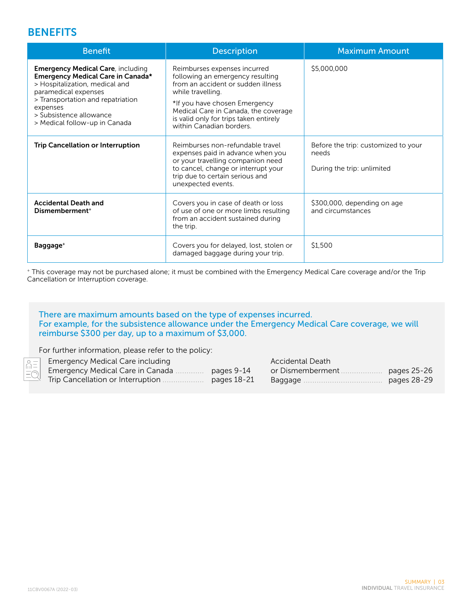## **BENEFITS**

| <b>Benefit</b>                                                                                                                                                                                                                                       | <b>Description</b>                                                                                                                                                                                                                                                         | <b>Maximum Amount</b>                                                      |
|------------------------------------------------------------------------------------------------------------------------------------------------------------------------------------------------------------------------------------------------------|----------------------------------------------------------------------------------------------------------------------------------------------------------------------------------------------------------------------------------------------------------------------------|----------------------------------------------------------------------------|
| <b>Emergency Medical Care, including</b><br>Emergency Medical Care in Canada*<br>> Hospitalization, medical and<br>paramedical expenses<br>> Transportation and repatriation<br>expenses<br>> Subsistence allowance<br>> Medical follow-up in Canada | Reimburses expenses incurred<br>following an emergency resulting<br>from an accident or sudden illness<br>while travelling.<br>*If you have chosen Emergency<br>Medical Care in Canada, the coverage<br>is valid only for trips taken entirely<br>within Canadian borders. | \$5,000,000                                                                |
| <b>Trip Cancellation or Interruption</b>                                                                                                                                                                                                             | Reimburses non-refundable travel<br>expenses paid in advance when you<br>or your travelling companion need<br>to cancel, change or interrupt your<br>trip due to certain serious and<br>unexpected events.                                                                 | Before the trip: customized to your<br>needs<br>During the trip: unlimited |
| <b>Accidental Death and</b><br>Dismemberment <sup>+</sup>                                                                                                                                                                                            | Covers you in case of death or loss<br>of use of one or more limbs resulting<br>from an accident sustained during<br>the trip.                                                                                                                                             | \$300,000, depending on age<br>and circumstances                           |
| Baggage <sup>+</sup>                                                                                                                                                                                                                                 | Covers you for delayed, lost, stolen or<br>damaged baggage during your trip.                                                                                                                                                                                               | \$1,500                                                                    |

+ This coverage may not be purchased alone; it must be combined with the Emergency Medical Care coverage and/or the Trip Cancellation or Interruption coverage.

#### There are maximum amounts based on the type of expenses incurred. For example, for the subsistence allowance under the Emergency Medical Care coverage, we will reimburse \$300 per day, up to a maximum of \$3,000.

For further information, please refer to the policy:

|                  |                                                                                                             |             | Accidental Death   |             |
|------------------|-------------------------------------------------------------------------------------------------------------|-------------|--------------------|-------------|
|                  | $\begin{array}{c}\n\hline\n\circ =\n\\ \hline\nm =\n\\ \hline \end{array}$ Emergency Medical Care in Canada | pages 9-14  | or Dismemberment . | pages 25-26 |
| $-\triangleleft$ | Trip Cancellation or Interruption                                                                           | pages 18-21 | Baggage            | pages 28-29 |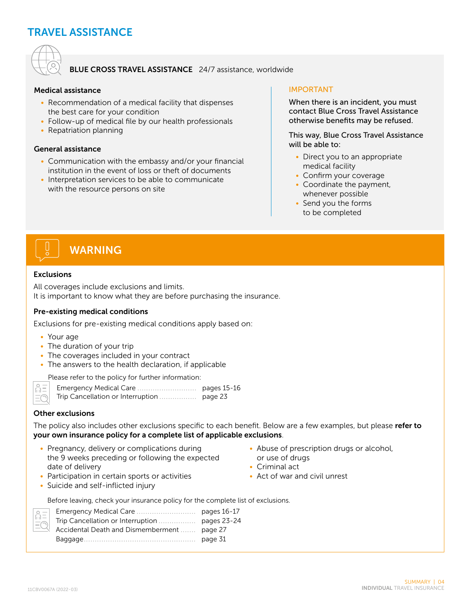## TRAVEL ASSISTANCE



#### BLUE CROSS TRAVEL ASSISTANCE 24/7 assistance, worldwide

#### Medical assistance

- Recommendation of a medical facility that dispenses the best care for your condition
- Follow-up of medical file by our health professionals
- Repatriation planning

#### General assistance

- Communication with the embassy and/or your financial institution in the event of loss or theft of documents
- Interpretation services to be able to communicate with the resource persons on site

#### IMPORTANT

When there is an incident, you must contact Blue Cross Travel Assistance otherwise benefits may be refused.

This way, Blue Cross Travel Assistance will be able to:

- Direct you to an appropriate medical facility
- Confirm your coverage
- Coordinate the payment, whenever possible
- Send you the forms to be completed



## WARNING

#### Exclusions

All coverages include exclusions and limits. It is important to know what they are before purchasing the insurance.

#### Pre-existing medical conditions

Exclusions for pre-existing medical conditions apply based on:

- Your age
- The duration of your trip
- The coverages included in your contract
- The answers to the health declaration, if applicable

Please refer to the policy for further information:

 $\sum_{i=1}^{n}$  $\equiv$  Emergency Medical Care ........................... pages 15-16 Trip Cancellation or Interruption ................. page 23

#### Other exclusions

The policy also includes other exclusions specific to each benefit. Below are a few examples, but please refer to your own insurance policy for a complete list of applicable exclusions.

- Pregnancy, delivery or complications during the 9 weeks preceding or following the expected date of delivery
- Participation in certain sports or activities
- Suicide and self-inflicted injury
- Abuse of prescription drugs or alcohol,
- or use of drugs
- Criminal act
- Act of war and civil unrest

Before leaving, check your insurance policy for the complete list of exclusions.

| $\equiv$                |                                             |         |
|-------------------------|---------------------------------------------|---------|
|                         |                                             |         |
| $\overline{\mathbb{Z}}$ | Accidental Death and Dismemberment  page 27 |         |
|                         |                                             | page 31 |
|                         |                                             |         |